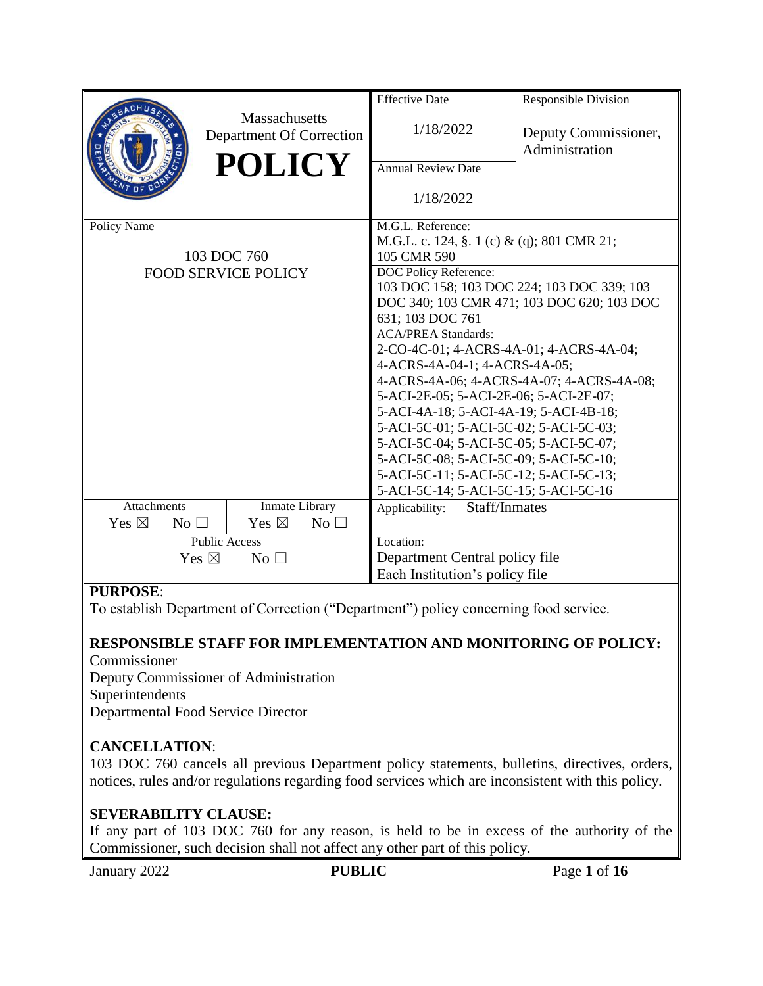|                                      |                                           | <b>Effective Date</b>                                                    | <b>Responsible Division</b>            |  |  |
|--------------------------------------|-------------------------------------------|--------------------------------------------------------------------------|----------------------------------------|--|--|
|                                      | Massachusetts<br>Department Of Correction | 1/18/2022                                                                | Deputy Commissioner,<br>Administration |  |  |
|                                      | <b>POLICY</b>                             | <b>Annual Review Date</b>                                                |                                        |  |  |
|                                      |                                           | 1/18/2022                                                                |                                        |  |  |
| Policy Name                          |                                           | M.G.L. Reference:                                                        |                                        |  |  |
|                                      |                                           | M.G.L. c. 124, §. 1 (c) & (q); 801 CMR 21;                               |                                        |  |  |
|                                      | 103 DOC 760                               | 105 CMR 590                                                              |                                        |  |  |
|                                      | <b>FOOD SERVICE POLICY</b>                | DOC Policy Reference:                                                    |                                        |  |  |
|                                      |                                           | 103 DOC 158; 103 DOC 224; 103 DOC 339; 103                               |                                        |  |  |
|                                      |                                           | DOC 340; 103 CMR 471; 103 DOC 620; 103 DOC                               |                                        |  |  |
|                                      |                                           | 631; 103 DOC 761                                                         |                                        |  |  |
|                                      |                                           | <b>ACA/PREA Standards:</b>                                               |                                        |  |  |
|                                      |                                           | 2-CO-4C-01; 4-ACRS-4A-01; 4-ACRS-4A-04;<br>4-ACRS-4A-04-1; 4-ACRS-4A-05; |                                        |  |  |
|                                      |                                           | 4-ACRS-4A-06; 4-ACRS-4A-07; 4-ACRS-4A-08;                                |                                        |  |  |
|                                      |                                           | 5-ACI-2E-05; 5-ACI-2E-06; 5-ACI-2E-07;                                   |                                        |  |  |
|                                      |                                           | 5-ACI-4A-18; 5-ACI-4A-19; 5-ACI-4B-18;                                   |                                        |  |  |
|                                      |                                           | 5-ACI-5C-01; 5-ACI-5C-02; 5-ACI-5C-03;                                   |                                        |  |  |
|                                      |                                           | 5-ACI-5C-04; 5-ACI-5C-05; 5-ACI-5C-07;                                   |                                        |  |  |
|                                      |                                           | 5-ACI-5C-08; 5-ACI-5C-09; 5-ACI-5C-10;                                   |                                        |  |  |
|                                      |                                           | 5-ACI-5C-11; 5-ACI-5C-12; 5-ACI-5C-13;                                   |                                        |  |  |
|                                      |                                           | 5-ACI-5C-14; 5-ACI-5C-15; 5-ACI-5C-16                                    |                                        |  |  |
| <b>Attachments</b><br>Inmate Library |                                           | Staff/Inmates<br>Applicability:                                          |                                        |  |  |
| Yes $\boxtimes$<br>No <sub>1</sub>   | Yes $\boxtimes$<br>No                     |                                                                          |                                        |  |  |
| <b>Public Access</b>                 |                                           | Location:                                                                |                                        |  |  |
| Yes $\boxtimes$<br>$No$ $\square$    |                                           | Department Central policy file                                           |                                        |  |  |
|                                      |                                           | Each Institution's policy file                                           |                                        |  |  |
| <b>DUDDACE</b>                       |                                           |                                                                          |                                        |  |  |

# **PURPOSE**:

To establish Department of Correction ("Department") policy concerning food service.

#### **RESPONSIBLE STAFF FOR IMPLEMENTATION AND MONITORING OF POLICY:** Commissioner

Deputy Commissioner of Administration Superintendents Departmental Food Service Director

# **CANCELLATION**:

103 DOC 760 cancels all previous Department policy statements, bulletins, directives, orders, notices, rules and/or regulations regarding food services which are inconsistent with this policy.

## **SEVERABILITY CLAUSE:**

If any part of 103 DOC 760 for any reason, is held to be in excess of the authority of the Commissioner, such decision shall not affect any other part of this policy.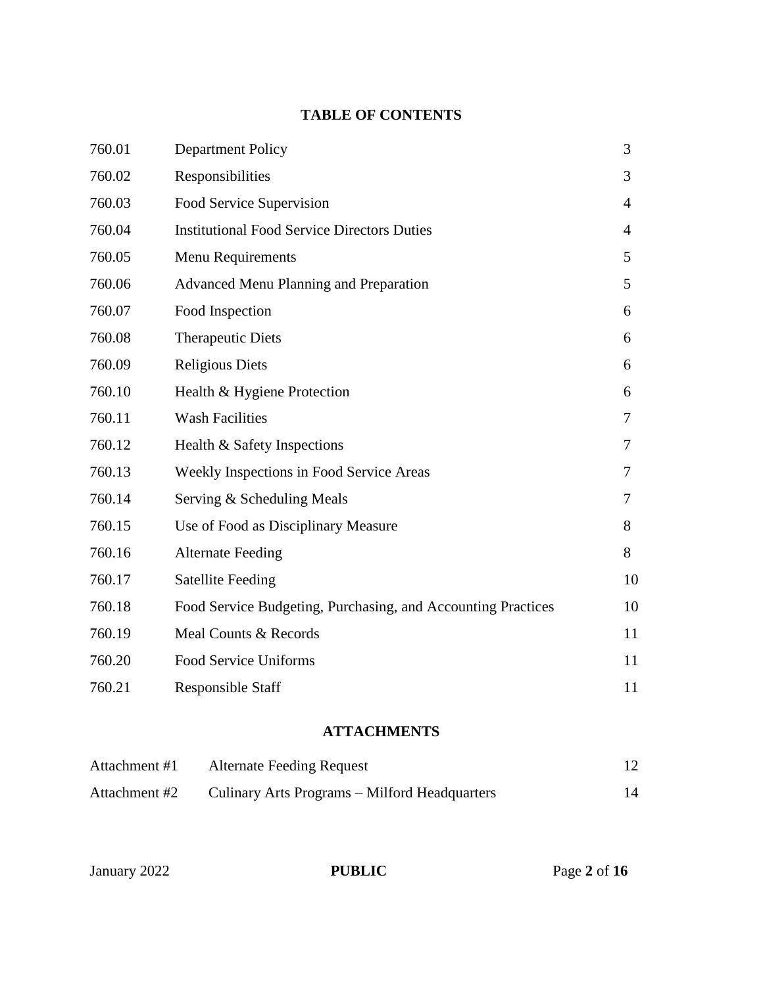# **TABLE OF CONTENTS**

| 760.01 | <b>Department Policy</b>                                     | 3              |
|--------|--------------------------------------------------------------|----------------|
| 760.02 | Responsibilities                                             | 3              |
| 760.03 | Food Service Supervision                                     | $\overline{4}$ |
| 760.04 | <b>Institutional Food Service Directors Duties</b>           | $\overline{4}$ |
| 760.05 | Menu Requirements                                            | 5              |
| 760.06 | <b>Advanced Menu Planning and Preparation</b>                | 5              |
| 760.07 | Food Inspection                                              | 6              |
| 760.08 | <b>Therapeutic Diets</b>                                     | 6              |
| 760.09 | <b>Religious Diets</b>                                       | 6              |
| 760.10 | Health & Hygiene Protection                                  | 6              |
| 760.11 | <b>Wash Facilities</b>                                       | 7              |
| 760.12 | Health & Safety Inspections                                  | 7              |
| 760.13 | Weekly Inspections in Food Service Areas                     | 7              |
| 760.14 | Serving & Scheduling Meals                                   | 7              |
| 760.15 | Use of Food as Disciplinary Measure                          | 8              |
| 760.16 | <b>Alternate Feeding</b>                                     | 8              |
| 760.17 | <b>Satellite Feeding</b>                                     | 10             |
| 760.18 | Food Service Budgeting, Purchasing, and Accounting Practices | 10             |
| 760.19 | Meal Counts & Records                                        | 11             |
| 760.20 | <b>Food Service Uniforms</b>                                 | 11             |
| 760.21 | <b>Responsible Staff</b>                                     | 11             |

# **ATTACHMENTS**

| Attachment #1 | <b>Alternate Feeding Request</b>              |  |
|---------------|-----------------------------------------------|--|
| Attachment #2 | Culinary Arts Programs – Milford Headquarters |  |

January 2022 **PUBLIC** Page 2 of 16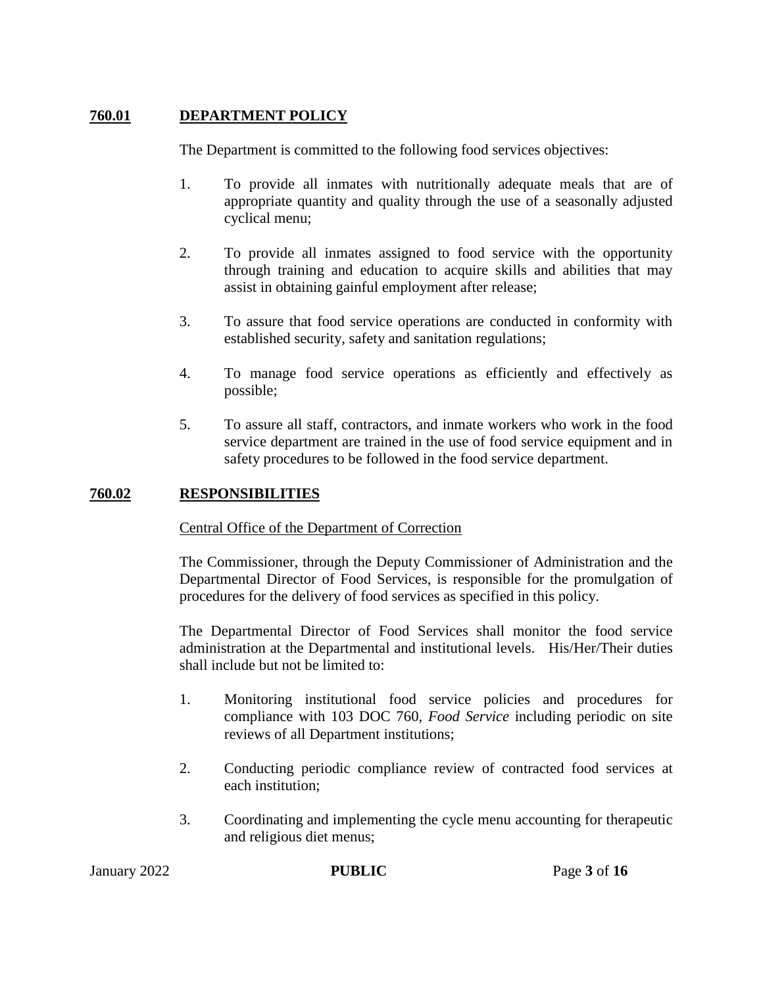# **760.01 DEPARTMENT POLICY**

The Department is committed to the following food services objectives:

- 1. To provide all inmates with nutritionally adequate meals that are of appropriate quantity and quality through the use of a seasonally adjusted cyclical menu;
- 2. To provide all inmates assigned to food service with the opportunity through training and education to acquire skills and abilities that may assist in obtaining gainful employment after release;
- 3. To assure that food service operations are conducted in conformity with established security, safety and sanitation regulations;
- 4. To manage food service operations as efficiently and effectively as possible;
- 5. To assure all staff, contractors, and inmate workers who work in the food service department are trained in the use of food service equipment and in safety procedures to be followed in the food service department.

## **760.02 RESPONSIBILITIES**

#### Central Office of the Department of Correction

The Commissioner, through the Deputy Commissioner of Administration and the Departmental Director of Food Services, is responsible for the promulgation of procedures for the delivery of food services as specified in this policy.

The Departmental Director of Food Services shall monitor the food service administration at the Departmental and institutional levels. His/Her/Their duties shall include but not be limited to:

- 1. Monitoring institutional food service policies and procedures for compliance with 103 DOC 760, *Food Service* including periodic on site reviews of all Department institutions;
- 2. Conducting periodic compliance review of contracted food services at each institution;
- 3. Coordinating and implementing the cycle menu accounting for therapeutic and religious diet menus;

January 2022 **PUBLIC** Page 3 of 16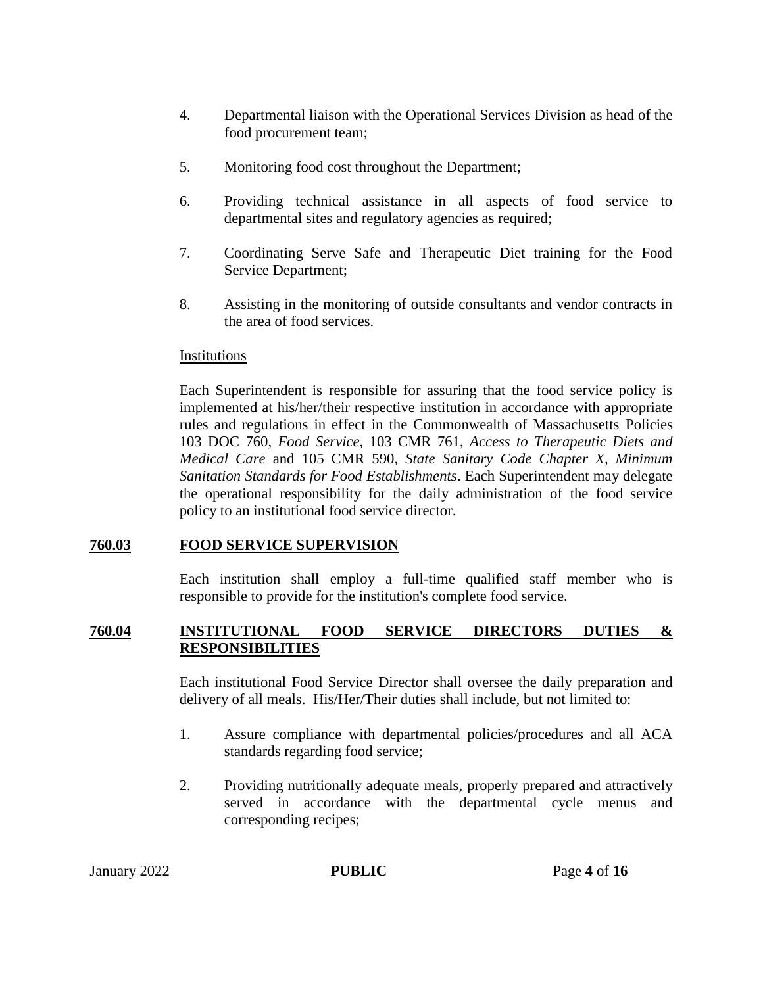- 4. Departmental liaison with the Operational Services Division as head of the food procurement team;
- 5. Monitoring food cost throughout the Department;
- 6. Providing technical assistance in all aspects of food service to departmental sites and regulatory agencies as required;
- 7. Coordinating Serve Safe and Therapeutic Diet training for the Food Service Department;
- 8. Assisting in the monitoring of outside consultants and vendor contracts in the area of food services.

#### Institutions

Each Superintendent is responsible for assuring that the food service policy is implemented at his/her/their respective institution in accordance with appropriate rules and regulations in effect in the Commonwealth of Massachusetts Policies 103 DOC 760, *Food Service,* 103 CMR 761, *Access to Therapeutic Diets and Medical Care* and 105 CMR 590, *State Sanitary Code Chapter X, Minimum Sanitation Standards for Food Establishments*. Each Superintendent may delegate the operational responsibility for the daily administration of the food service policy to an institutional food service director.

#### **760.03 FOOD SERVICE SUPERVISION**

Each institution shall employ a full-time qualified staff member who is responsible to provide for the institution's complete food service.

### **760.04 INSTITUTIONAL FOOD SERVICE DIRECTORS DUTIES & RESPONSIBILITIES**

Each institutional Food Service Director shall oversee the daily preparation and delivery of all meals. His/Her/Their duties shall include, but not limited to:

- 1. Assure compliance with departmental policies/procedures and all ACA standards regarding food service;
- 2. Providing nutritionally adequate meals, properly prepared and attractively served in accordance with the departmental cycle menus and corresponding recipes;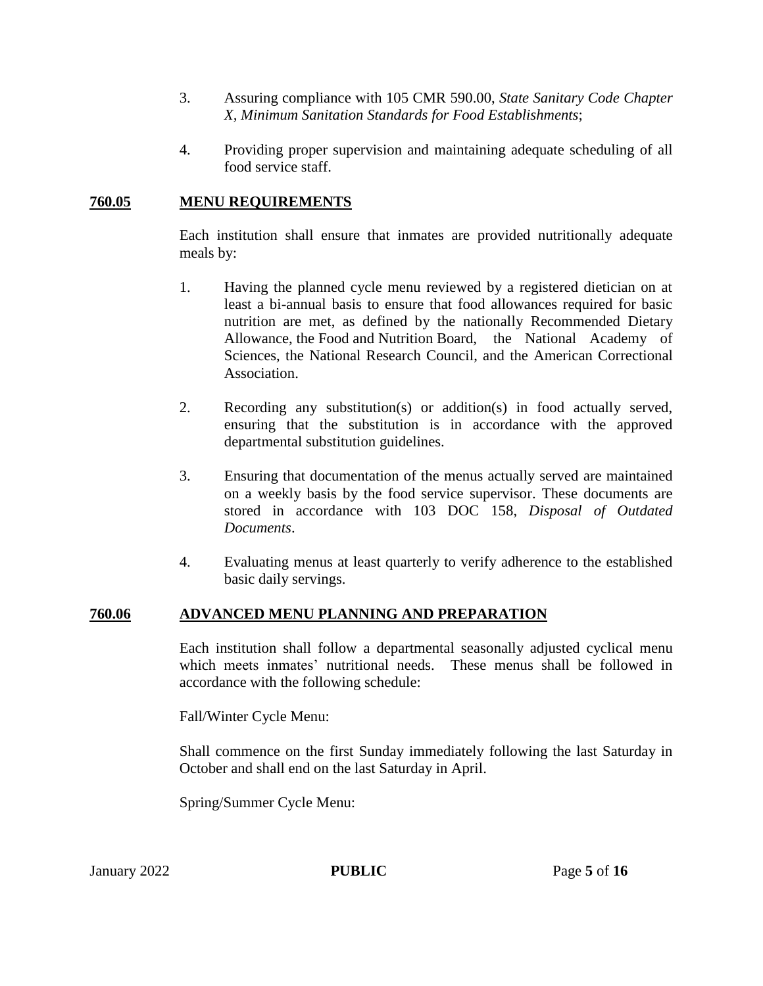- 3. Assuring compliance with 105 CMR 590.00, *State Sanitary Code Chapter X, Minimum Sanitation Standards for Food Establishments*;
- 4. Providing proper supervision and maintaining adequate scheduling of all food service staff.

## **760.05 MENU REQUIREMENTS**

Each institution shall ensure that inmates are provided nutritionally adequate meals by:

- 1. Having the planned cycle menu reviewed by a registered dietician on at least a bi-annual basis to ensure that food allowances required for basic nutrition are met, as defined by the nationally Recommended Dietary Allowance, the Food and Nutrition Board, the National Academy of Sciences, the National Research Council, and the American Correctional Association.
- 2. Recording any substitution(s) or addition(s) in food actually served, ensuring that the substitution is in accordance with the approved departmental substitution guidelines.
- 3. Ensuring that documentation of the menus actually served are maintained on a weekly basis by the food service supervisor. These documents are stored in accordance with 103 DOC 158, *Disposal of Outdated Documents*.
- 4. Evaluating menus at least quarterly to verify adherence to the established basic daily servings.

## **760.06 ADVANCED MENU PLANNING AND PREPARATION**

Each institution shall follow a departmental seasonally adjusted cyclical menu which meets inmates' nutritional needs. These menus shall be followed in accordance with the following schedule:

Fall/Winter Cycle Menu:

Shall commence on the first Sunday immediately following the last Saturday in October and shall end on the last Saturday in April.

Spring/Summer Cycle Menu: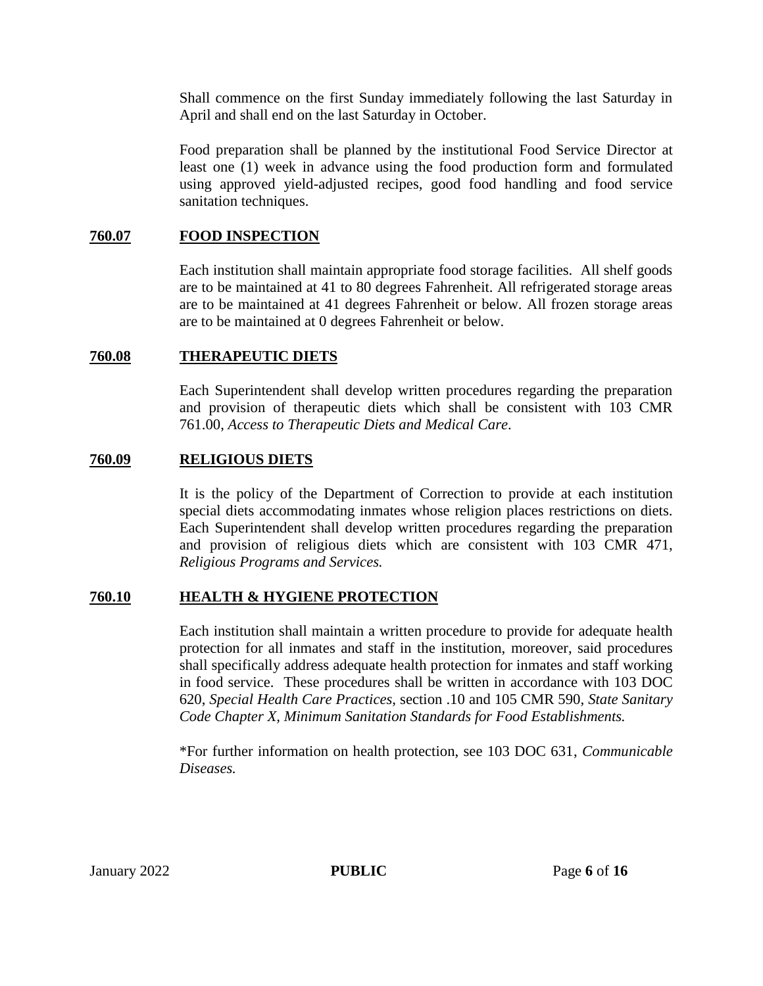Shall commence on the first Sunday immediately following the last Saturday in April and shall end on the last Saturday in October.

Food preparation shall be planned by the institutional Food Service Director at least one (1) week in advance using the food production form and formulated using approved yield-adjusted recipes, good food handling and food service sanitation techniques.

## **760.07 FOOD INSPECTION**

Each institution shall maintain appropriate food storage facilities. All shelf goods are to be maintained at 41 to 80 degrees Fahrenheit. All refrigerated storage areas are to be maintained at 41 degrees Fahrenheit or below. All frozen storage areas are to be maintained at 0 degrees Fahrenheit or below.

## **760.08 THERAPEUTIC DIETS**

Each Superintendent shall develop written procedures regarding the preparation and provision of therapeutic diets which shall be consistent with 103 CMR 761.00, *Access to Therapeutic Diets and Medical Care*.

## **760.09 RELIGIOUS DIETS**

It is the policy of the Department of Correction to provide at each institution special diets accommodating inmates whose religion places restrictions on diets. Each Superintendent shall develop written procedures regarding the preparation and provision of religious diets which are consistent with 103 CMR 471, *Religious Programs and Services.*

## **760.10 HEALTH & HYGIENE PROTECTION**

Each institution shall maintain a written procedure to provide for adequate health protection for all inmates and staff in the institution, moreover, said procedures shall specifically address adequate health protection for inmates and staff working in food service. These procedures shall be written in accordance with 103 DOC 620, *Special Health Care Practices*, section .10 and 105 CMR 590*, State Sanitary Code Chapter X, Minimum Sanitation Standards for Food Establishments.*

\*For further information on health protection, see 103 DOC 631, *Communicable Diseases.*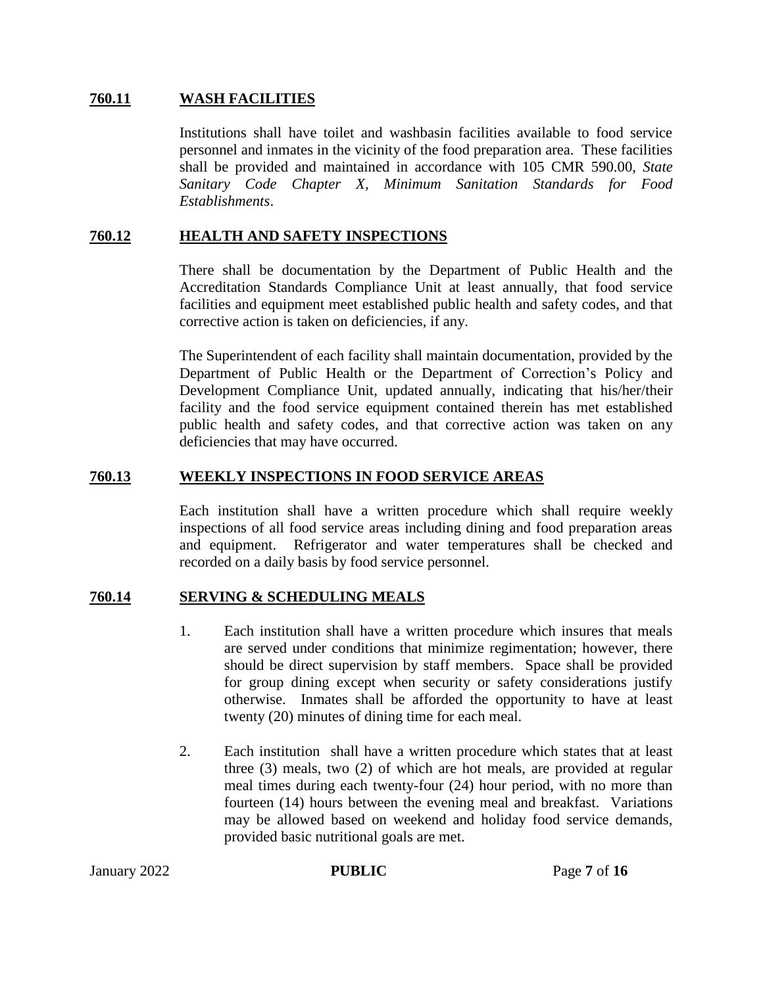### **760.11 WASH FACILITIES**

Institutions shall have toilet and washbasin facilities available to food service personnel and inmates in the vicinity of the food preparation area. These facilities shall be provided and maintained in accordance with 105 CMR 590.00, *State Sanitary Code Chapter X, Minimum Sanitation Standards for Food Establishments*.

### **760.12 HEALTH AND SAFETY INSPECTIONS**

There shall be documentation by the Department of Public Health and the Accreditation Standards Compliance Unit at least annually, that food service facilities and equipment meet established public health and safety codes, and that corrective action is taken on deficiencies, if any.

The Superintendent of each facility shall maintain documentation, provided by the Department of Public Health or the Department of Correction's Policy and Development Compliance Unit, updated annually, indicating that his/her/their facility and the food service equipment contained therein has met established public health and safety codes, and that corrective action was taken on any deficiencies that may have occurred.

#### **760.13 WEEKLY INSPECTIONS IN FOOD SERVICE AREAS**

Each institution shall have a written procedure which shall require weekly inspections of all food service areas including dining and food preparation areas and equipment. Refrigerator and water temperatures shall be checked and recorded on a daily basis by food service personnel.

#### **760.14 SERVING & SCHEDULING MEALS**

- 1. Each institution shall have a written procedure which insures that meals are served under conditions that minimize regimentation; however, there should be direct supervision by staff members. Space shall be provided for group dining except when security or safety considerations justify otherwise. Inmates shall be afforded the opportunity to have at least twenty (20) minutes of dining time for each meal.
- 2. Each institution shall have a written procedure which states that at least three (3) meals, two (2) of which are hot meals, are provided at regular meal times during each twenty-four (24) hour period, with no more than fourteen (14) hours between the evening meal and breakfast.Variations may be allowed based on weekend and holiday food service demands, provided basic nutritional goals are met.

January 2022 **PUBLIC** Page **7** of **16**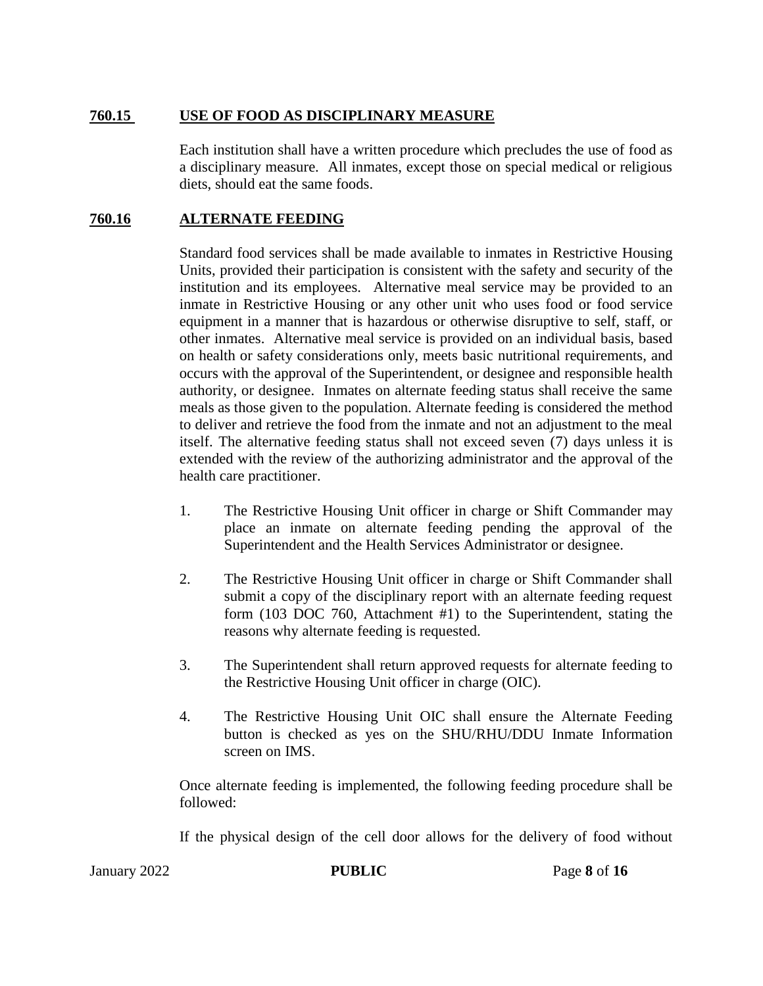# **760.15 USE OF FOOD AS DISCIPLINARY MEASURE**

Each institution shall have a written procedure which precludes the use of food as a disciplinary measure. All inmates, except those on special medical or religious diets, should eat the same foods.

# **760.16 ALTERNATE FEEDING**

Standard food services shall be made available to inmates in Restrictive Housing Units, provided their participation is consistent with the safety and security of the institution and its employees. Alternative meal service may be provided to an inmate in Restrictive Housing or any other unit who uses food or food service equipment in a manner that is hazardous or otherwise disruptive to self, staff, or other inmates.Alternative meal service is provided on an individual basis, based on health or safety considerations only, meets basic nutritional requirements, and occurs with the approval of the Superintendent, or designee and responsible health authority, or designee. Inmates on alternate feeding status shall receive the same meals as those given to the population. Alternate feeding is considered the method to deliver and retrieve the food from the inmate and not an adjustment to the meal itself. The alternative feeding status shall not exceed seven (7) days unless it is extended with the review of the authorizing administrator and the approval of the health care practitioner.

- 1. The Restrictive Housing Unit officer in charge or Shift Commander may place an inmate on alternate feeding pending the approval of the Superintendent and the Health Services Administrator or designee.
- 2. The Restrictive Housing Unit officer in charge or Shift Commander shall submit a copy of the disciplinary report with an alternate feeding request form (103 DOC 760, Attachment #1) to the Superintendent, stating the reasons why alternate feeding is requested.
- 3. The Superintendent shall return approved requests for alternate feeding to the Restrictive Housing Unit officer in charge (OIC).
- 4. The Restrictive Housing Unit OIC shall ensure the Alternate Feeding button is checked as yes on the SHU/RHU/DDU Inmate Information screen on IMS.

Once alternate feeding is implemented, the following feeding procedure shall be followed:

If the physical design of the cell door allows for the delivery of food without

January 2022 **PUBLIC** Page **8** of **16**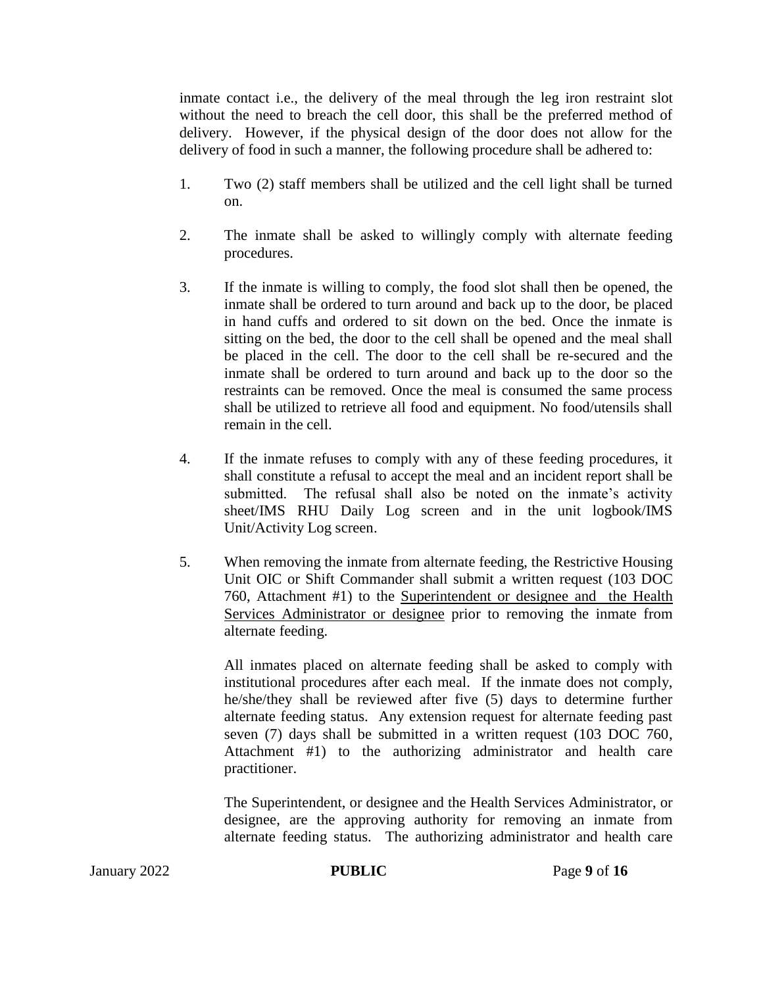inmate contact i.e., the delivery of the meal through the leg iron restraint slot without the need to breach the cell door, this shall be the preferred method of delivery. However, if the physical design of the door does not allow for the delivery of food in such a manner, the following procedure shall be adhered to:

- 1. Two (2) staff members shall be utilized and the cell light shall be turned on.
- 2. The inmate shall be asked to willingly comply with alternate feeding procedures.
- 3. If the inmate is willing to comply, the food slot shall then be opened, the inmate shall be ordered to turn around and back up to the door, be placed in hand cuffs and ordered to sit down on the bed. Once the inmate is sitting on the bed, the door to the cell shall be opened and the meal shall be placed in the cell. The door to the cell shall be re-secured and the inmate shall be ordered to turn around and back up to the door so the restraints can be removed. Once the meal is consumed the same process shall be utilized to retrieve all food and equipment. No food/utensils shall remain in the cell.
- 4. If the inmate refuses to comply with any of these feeding procedures, it shall constitute a refusal to accept the meal and an incident report shall be submitted. The refusal shall also be noted on the inmate's activity sheet/IMS RHU Daily Log screen and in the unit logbook/IMS Unit/Activity Log screen.
- 5. When removing the inmate from alternate feeding, the Restrictive Housing Unit OIC or Shift Commander shall submit a written request (103 DOC 760, Attachment #1) to the Superintendent or designee and the Health Services Administrator or designee prior to removing the inmate from alternate feeding.

All inmates placed on alternate feeding shall be asked to comply with institutional procedures after each meal. If the inmate does not comply, he/she/they shall be reviewed after five (5) days to determine further alternate feeding status. Any extension request for alternate feeding past seven (7) days shall be submitted in a written request (103 DOC 760, Attachment #1) to the authorizing administrator and health care practitioner.

The Superintendent, or designee and the Health Services Administrator, or designee, are the approving authority for removing an inmate from alternate feeding status. The authorizing administrator and health care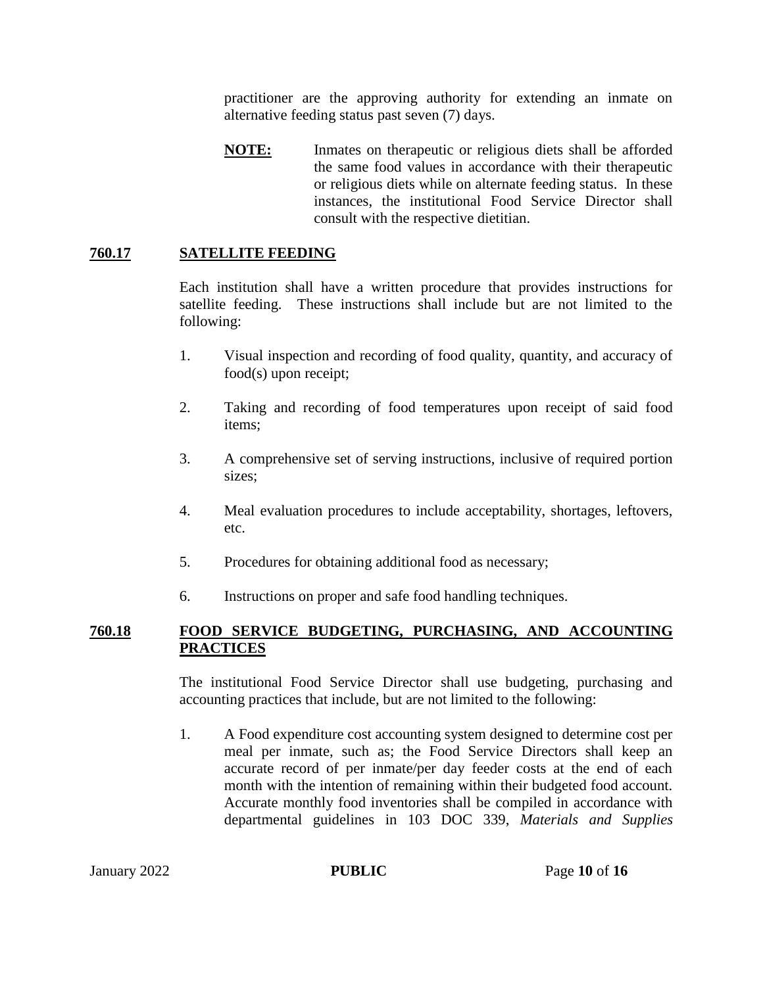practitioner are the approving authority for extending an inmate on alternative feeding status past seven (7) days.

**NOTE:** Inmates on therapeutic or religious diets shall be afforded the same food values in accordance with their therapeutic or religious diets while on alternate feeding status. In these instances, the institutional Food Service Director shall consult with the respective dietitian.

# **760.17 SATELLITE FEEDING**

Each institution shall have a written procedure that provides instructions for satellite feeding. These instructions shall include but are not limited to the following:

- 1. Visual inspection and recording of food quality, quantity, and accuracy of food(s) upon receipt;
- 2. Taking and recording of food temperatures upon receipt of said food items;
- 3. A comprehensive set of serving instructions, inclusive of required portion sizes;
- 4. Meal evaluation procedures to include acceptability, shortages, leftovers, etc.
- 5. Procedures for obtaining additional food as necessary;
- 6. Instructions on proper and safe food handling techniques.

### **760.18 FOOD SERVICE BUDGETING, PURCHASING, AND ACCOUNTING PRACTICES**

The institutional Food Service Director shall use budgeting, purchasing and accounting practices that include, but are not limited to the following:

1. A Food expenditure cost accounting system designed to determine cost per meal per inmate, such as; the Food Service Directors shall keep an accurate record of per inmate/per day feeder costs at the end of each month with the intention of remaining within their budgeted food account. Accurate monthly food inventories shall be compiled in accordance with departmental guidelines in 103 DOC 339, *Materials and Supplies*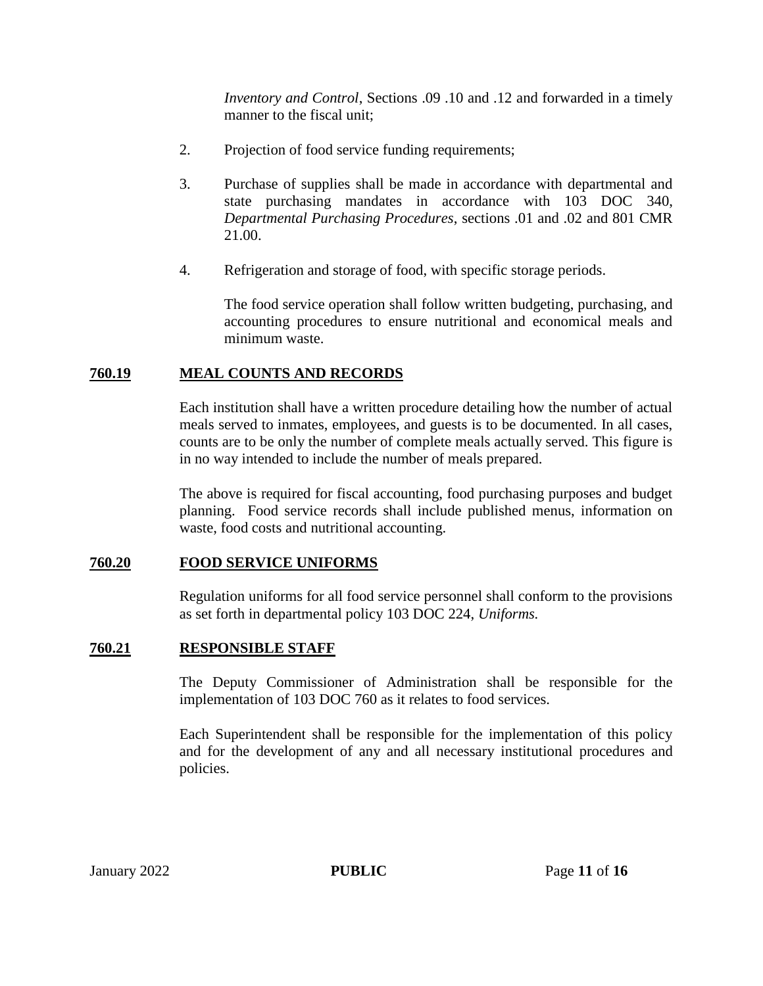*Inventory and Control*, Sections .09 .10 and .12 and forwarded in a timely manner to the fiscal unit;

- 2. Projection of food service funding requirements;
- 3. Purchase of supplies shall be made in accordance with departmental and state purchasing mandates in accordance with 103 DOC 340, *Departmental Purchasing Procedures*, sections .01 and .02 and 801 CMR 21.00.
- 4. Refrigeration and storage of food, with specific storage periods.

The food service operation shall follow written budgeting, purchasing, and accounting procedures to ensure nutritional and economical meals and minimum waste.

# **760.19 MEAL COUNTS AND RECORDS**

Each institution shall have a written procedure detailing how the number of actual meals served to inmates, employees, and guests is to be documented. In all cases, counts are to be only the number of complete meals actually served. This figure is in no way intended to include the number of meals prepared.

The above is required for fiscal accounting, food purchasing purposes and budget planning. Food service records shall include published menus, information on waste, food costs and nutritional accounting.

# **760.20 FOOD SERVICE UNIFORMS**

Regulation uniforms for all food service personnel shall conform to the provisions as set forth in departmental policy 103 DOC 224, *Uniforms.*

## **760.21 RESPONSIBLE STAFF**

The Deputy Commissioner of Administration shall be responsible for the implementation of 103 DOC 760 as it relates to food services.

Each Superintendent shall be responsible for the implementation of this policy and for the development of any and all necessary institutional procedures and policies.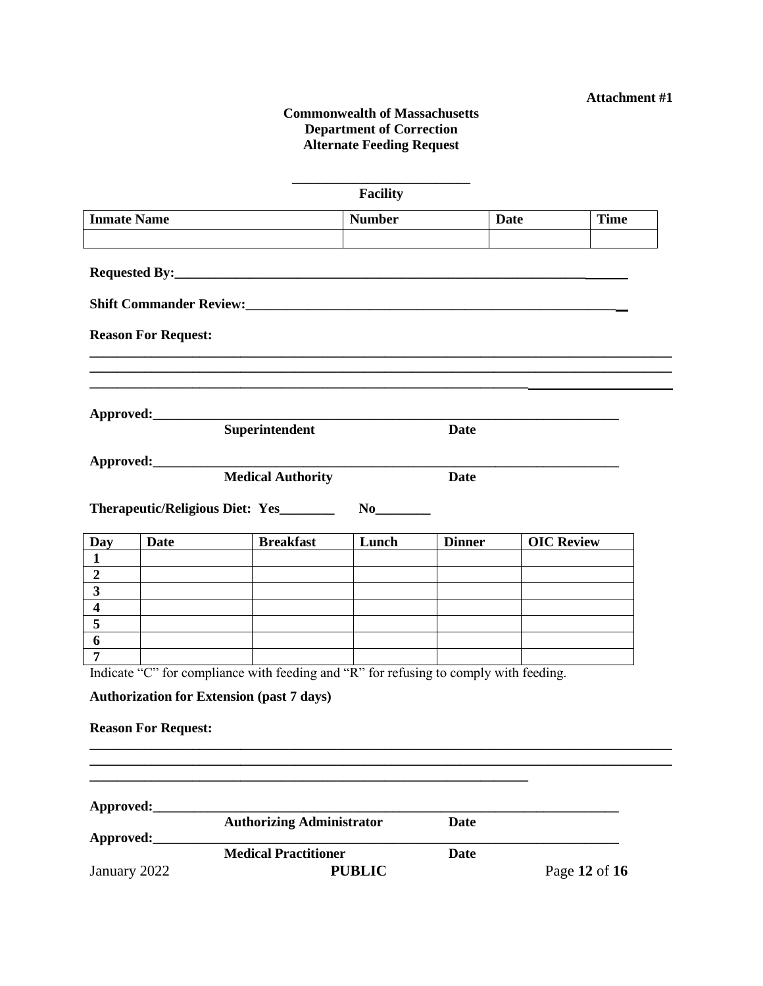#### **Commonwealth of Massachusetts Department of Correction Alternate Feeding Request**

|                                                    |                            |                                                                                       | <b>Facility</b> |               |                   |               |  |
|----------------------------------------------------|----------------------------|---------------------------------------------------------------------------------------|-----------------|---------------|-------------------|---------------|--|
| <b>Inmate Name</b>                                 |                            |                                                                                       | <b>Number</b>   |               | Date              | <b>Time</b>   |  |
|                                                    |                            |                                                                                       |                 |               |                   |               |  |
|                                                    |                            |                                                                                       |                 |               |                   |               |  |
|                                                    |                            |                                                                                       |                 |               |                   |               |  |
|                                                    |                            |                                                                                       |                 |               |                   |               |  |
|                                                    | <b>Reason For Request:</b> |                                                                                       |                 |               |                   |               |  |
|                                                    |                            |                                                                                       |                 |               |                   |               |  |
|                                                    |                            |                                                                                       |                 |               |                   |               |  |
|                                                    |                            |                                                                                       |                 |               |                   |               |  |
|                                                    | Approved:_________         | Superintendent                                                                        |                 | <b>Date</b>   |                   |               |  |
|                                                    |                            |                                                                                       |                 |               |                   |               |  |
|                                                    | Approved:_______           |                                                                                       |                 |               |                   |               |  |
|                                                    |                            | <b>Medical Authority</b>                                                              |                 | <b>Date</b>   |                   |               |  |
|                                                    |                            | Therapeutic/Religious Diet: Yes_______                                                |                 |               |                   |               |  |
|                                                    |                            |                                                                                       |                 |               |                   |               |  |
| Day                                                | Date                       | <b>Breakfast</b>                                                                      | Lunch           | <b>Dinner</b> | <b>OIC Review</b> |               |  |
| $\mathbf{1}$                                       |                            |                                                                                       |                 |               |                   |               |  |
| $\boldsymbol{2}$                                   |                            |                                                                                       |                 |               |                   |               |  |
| $\overline{\mathbf{3}}$<br>$\overline{\mathbf{4}}$ |                            |                                                                                       |                 |               |                   |               |  |
| $\overline{\mathbf{5}}$                            |                            |                                                                                       |                 |               |                   |               |  |
| 6                                                  |                            |                                                                                       |                 |               |                   |               |  |
| $\overline{7}$                                     |                            |                                                                                       |                 |               |                   |               |  |
|                                                    |                            | Indicate "C" for compliance with feeding and "R" for refusing to comply with feeding. |                 |               |                   |               |  |
|                                                    |                            | <b>Authorization for Extension (past 7 days)</b>                                      |                 |               |                   |               |  |
|                                                    |                            |                                                                                       |                 |               |                   |               |  |
|                                                    | <b>Reason For Request:</b> |                                                                                       |                 |               |                   |               |  |
|                                                    |                            |                                                                                       |                 |               |                   |               |  |
|                                                    |                            |                                                                                       |                 |               |                   |               |  |
|                                                    |                            |                                                                                       |                 |               |                   |               |  |
| Approved:                                          |                            |                                                                                       |                 |               |                   |               |  |
|                                                    |                            | <b>Authorizing Administrator</b>                                                      |                 | <b>Date</b>   |                   |               |  |
| Approved:                                          |                            |                                                                                       |                 |               |                   |               |  |
|                                                    |                            | <b>Medical Practitioner</b>                                                           |                 | <b>Date</b>   |                   |               |  |
| January 2022                                       |                            |                                                                                       | <b>PUBLIC</b>   |               |                   | Page 12 of 16 |  |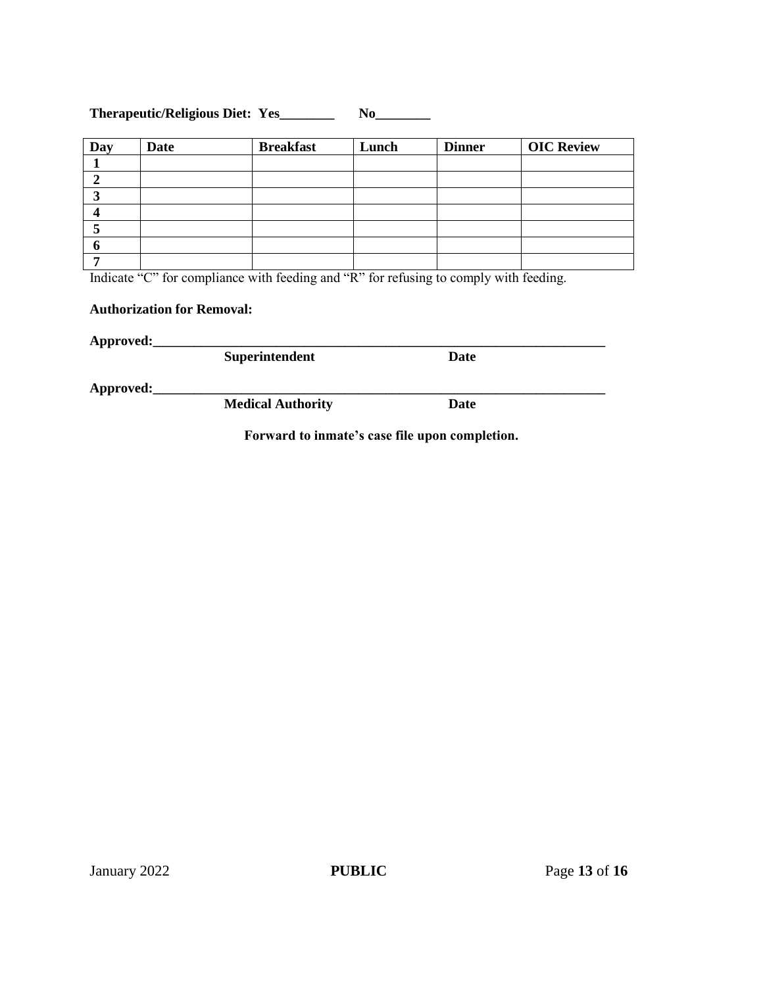### **Therapeutic/Religious Diet: Yes\_\_\_\_\_\_\_\_ No\_\_\_\_\_\_\_\_**

| Day | <b>Date</b> | <b>Breakfast</b> | Lunch | <b>Dinner</b> | <b>OIC Review</b> |
|-----|-------------|------------------|-------|---------------|-------------------|
|     |             |                  |       |               |                   |
|     |             |                  |       |               |                   |
|     |             |                  |       |               |                   |
|     |             |                  |       |               |                   |
|     |             |                  |       |               |                   |
|     |             |                  |       |               |                   |
|     |             |                  |       |               |                   |

Indicate "C" for compliance with feeding and "R" for refusing to comply with feeding.

### **Authorization for Removal:**

**Approved:\_\_\_\_\_\_\_\_\_\_\_\_\_\_\_\_\_\_\_\_\_\_\_\_\_\_\_\_\_\_\_\_\_\_\_\_\_\_\_\_\_\_\_\_\_\_\_\_\_\_\_\_\_\_\_\_\_\_\_\_\_\_\_\_\_\_ Superintendent** 

**Approved:\_\_\_\_\_\_\_\_\_\_\_\_\_\_\_\_\_\_\_\_\_\_\_\_\_\_\_\_\_\_\_\_\_\_\_\_\_\_\_\_\_\_\_\_\_\_\_\_\_\_\_\_\_\_\_\_\_\_\_\_\_\_\_\_\_\_**

**Medical Authority Date**

**Forward to inmate's case file upon completion.**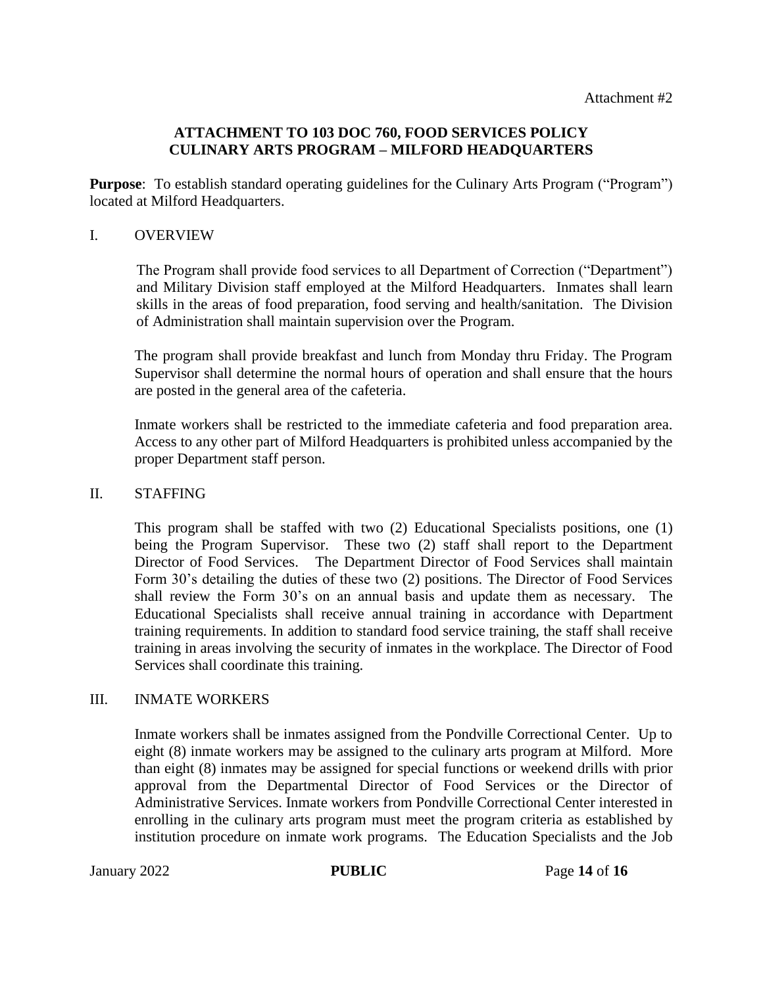### **ATTACHMENT TO 103 DOC 760, FOOD SERVICES POLICY CULINARY ARTS PROGRAM – MILFORD HEADQUARTERS**

**Purpose:** To establish standard operating guidelines for the Culinary Arts Program ("Program") located at Milford Headquarters.

#### I. OVERVIEW

The Program shall provide food services to all Department of Correction ("Department") and Military Division staff employed at the Milford Headquarters. Inmates shall learn skills in the areas of food preparation, food serving and health/sanitation. The Division of Administration shall maintain supervision over the Program.

The program shall provide breakfast and lunch from Monday thru Friday. The Program Supervisor shall determine the normal hours of operation and shall ensure that the hours are posted in the general area of the cafeteria.

Inmate workers shall be restricted to the immediate cafeteria and food preparation area. Access to any other part of Milford Headquarters is prohibited unless accompanied by the proper Department staff person.

#### II. STAFFING

This program shall be staffed with two (2) Educational Specialists positions, one (1) being the Program Supervisor. These two (2) staff shall report to the Department Director of Food Services. The Department Director of Food Services shall maintain Form 30's detailing the duties of these two (2) positions. The Director of Food Services shall review the Form 30's on an annual basis and update them as necessary. The Educational Specialists shall receive annual training in accordance with Department training requirements. In addition to standard food service training, the staff shall receive training in areas involving the security of inmates in the workplace. The Director of Food Services shall coordinate this training.

#### III. INMATE WORKERS

Inmate workers shall be inmates assigned from the Pondville Correctional Center. Up to eight (8) inmate workers may be assigned to the culinary arts program at Milford. More than eight (8) inmates may be assigned for special functions or weekend drills with prior approval from the Departmental Director of Food Services or the Director of Administrative Services. Inmate workers from Pondville Correctional Center interested in enrolling in the culinary arts program must meet the program criteria as established by institution procedure on inmate work programs. The Education Specialists and the Job

January 2022 **PUBLIC** Page **14** of **16**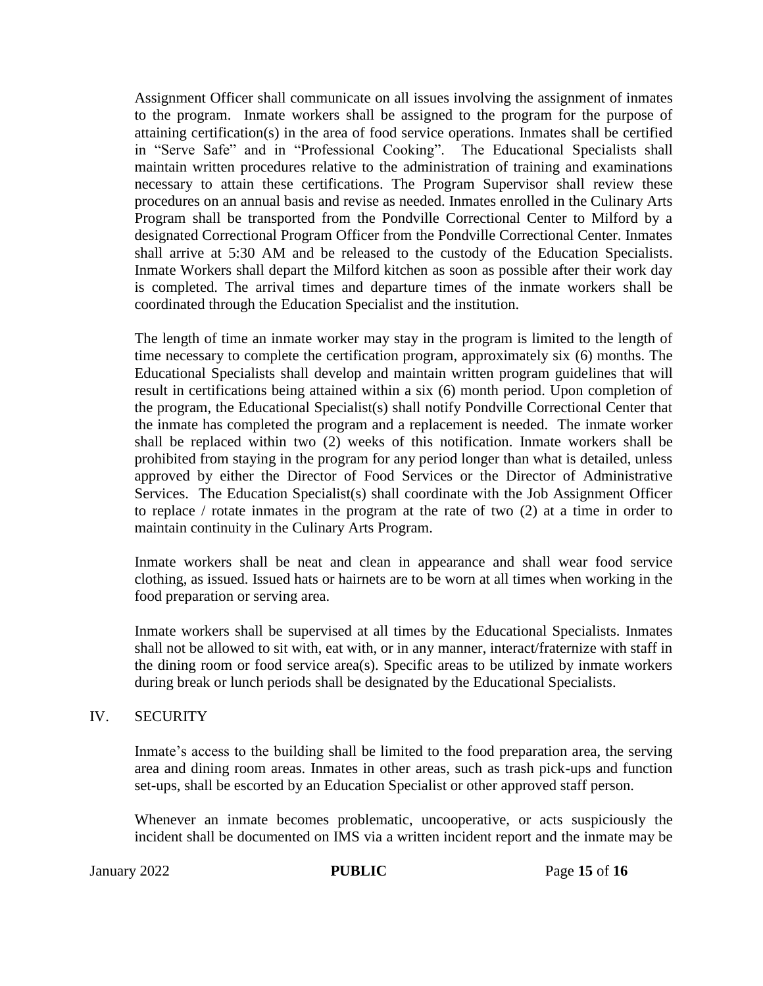Assignment Officer shall communicate on all issues involving the assignment of inmates to the program. Inmate workers shall be assigned to the program for the purpose of attaining certification(s) in the area of food service operations. Inmates shall be certified in "Serve Safe" and in "Professional Cooking". The Educational Specialists shall maintain written procedures relative to the administration of training and examinations necessary to attain these certifications. The Program Supervisor shall review these procedures on an annual basis and revise as needed. Inmates enrolled in the Culinary Arts Program shall be transported from the Pondville Correctional Center to Milford by a designated Correctional Program Officer from the Pondville Correctional Center. Inmates shall arrive at 5:30 AM and be released to the custody of the Education Specialists. Inmate Workers shall depart the Milford kitchen as soon as possible after their work day is completed. The arrival times and departure times of the inmate workers shall be coordinated through the Education Specialist and the institution.

The length of time an inmate worker may stay in the program is limited to the length of time necessary to complete the certification program, approximately six (6) months. The Educational Specialists shall develop and maintain written program guidelines that will result in certifications being attained within a six (6) month period. Upon completion of the program, the Educational Specialist(s) shall notify Pondville Correctional Center that the inmate has completed the program and a replacement is needed. The inmate worker shall be replaced within two (2) weeks of this notification. Inmate workers shall be prohibited from staying in the program for any period longer than what is detailed, unless approved by either the Director of Food Services or the Director of Administrative Services. The Education Specialist(s) shall coordinate with the Job Assignment Officer to replace / rotate inmates in the program at the rate of two (2) at a time in order to maintain continuity in the Culinary Arts Program.

Inmate workers shall be neat and clean in appearance and shall wear food service clothing, as issued. Issued hats or hairnets are to be worn at all times when working in the food preparation or serving area.

Inmate workers shall be supervised at all times by the Educational Specialists. Inmates shall not be allowed to sit with, eat with, or in any manner, interact/fraternize with staff in the dining room or food service area(s). Specific areas to be utilized by inmate workers during break or lunch periods shall be designated by the Educational Specialists.

#### IV. SECURITY

Inmate's access to the building shall be limited to the food preparation area, the serving area and dining room areas. Inmates in other areas, such as trash pick-ups and function set-ups, shall be escorted by an Education Specialist or other approved staff person.

Whenever an inmate becomes problematic, uncooperative, or acts suspiciously the incident shall be documented on IMS via a written incident report and the inmate may be